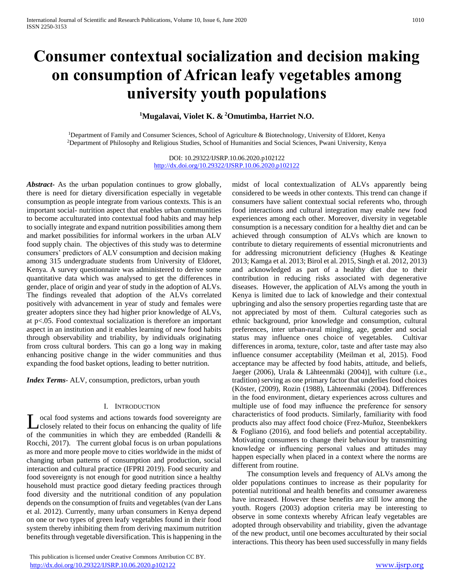# **Consumer contextual socialization and decision making on consumption of African leafy vegetables among university youth populations**

# **<sup>1</sup>Mugalavai, Violet K. & <sup>2</sup>Omutimba, Harriet N.O.**

<sup>1</sup>Department of Family and Consumer Sciences, School of Agriculture & Biotechnology, University of Eldoret, Kenya <sup>2</sup>Department of Philosophy and Religious Studies, School of Humanities and Social Sciences, Pwani University, Kenya

> DOI: 10.29322/IJSRP.10.06.2020.p102122 <http://dx.doi.org/10.29322/IJSRP.10.06.2020.p102122>

*Abstract***-** As the urban population continues to grow globally, there is need for dietary diversification especially in vegetable consumption as people integrate from various contexts. This is an important social- nutrition aspect that enables urban communities to become acculturated into contextual food habits and may help to socially integrate and expand nutrition possibilities among them and market possibilities for informal workers in the urban ALV food supply chain. The objectives of this study was to determine consumers' predictors of ALV consumption and decision making among 315 undergraduate students from University of Eldoret, Kenya. A survey questionnaire was administered to derive some quantitative data which was analysed to get the differences in gender, place of origin and year of study in the adoption of ALVs. The findings revealed that adoption of the ALVs correlated positively with advancement in year of study and females were greater adopters since they had higher prior knowledge of ALVs, at p<.05. Food contextual socialization is therefore an important aspect in an institution and it enables learning of new food habits through observability and triability, by individuals originating from cross cultural borders. This can go a long way in making enhancing positive change in the wider communities and thus expanding the food basket options, leading to better nutrition.

*Index Terms*- ALV, consumption, predictors, urban youth

## I. INTRODUCTION

ocal food systems and actions towards food sovereignty are closely related to their focus on enhancing the quality of life **L** ocal food systems and actions towards food sovereignty are closely related to their focus on enhancing the quality of life of the communities in which they are embedded (Randelli & Rocchi, 2017). The current global focus is on urban populations as more and more people move to cities worldwide in the midst of changing urban patterns of consumption and production, social interaction and cultural practice (IFPRI 2019). Food security and food sovereignty is not enough for good nutrition since a healthy household must practice good dietary feeding practices through food diversity and the nutritional condition of any population depends on the consumption of fruits and vegetables (van der Lans et al. 2012). Currently, many urban consumers in Kenya depend on one or two types of green leafy vegetables found in their food system thereby inhibiting them from deriving maximum nutrition benefits through vegetable diversification. This is happening in the

 This publication is licensed under Creative Commons Attribution CC BY. <http://dx.doi.org/10.29322/IJSRP.10.06.2020.p102122> [www.ijsrp.org](http://ijsrp.org/)

midst of local contextualization of ALVs apparently being considered to be weeds in other contexts. This trend can change if consumers have salient contextual social referents who, through food interactions and cultural integration may enable new food experiences among each other. Moreover, diversity in vegetable consumption is a necessary condition for a healthy diet and can be achieved through consumption of ALVs which are known to contribute to dietary requirements of essential micronutrients and for addressing micronutrient deficiency (Hughes & Keatinge 2013; Kamga et al. 2013; Birol et al. 2015, Singh et al. 2012, 2013) and acknowledged as part of a healthy diet due to their contribution in reducing risks associated with degenerative diseases. However, the application of ALVs among the youth in Kenya is limited due to lack of knowledge and their contextual upbringing and also the sensory properties regarding taste that are not appreciated by most of them. Cultural categories such as ethnic background, prior knowledge and consumption, cultural preferences, inter urban-rural mingling, age, gender and social status may influence ones choice of vegetables. Cultivar differences in aroma, texture, color, taste and after taste may also influence consumer acceptability (Meilman et al, 2015). Food acceptance may be affected by food habits, attitude, and beliefs, Jaeger (2006), Urala & Lähteenmäki (2004)], with culture (i.e., tradition) serving as one primary factor that underlies food choices (Köster, (2009), Rozin (1988), Lähteenmäki (2004). Differences in the food environment, dietary experiences across cultures and multiple use of food may influence the preference for sensory characteristics of food products. Similarly, familiarity with food products also may affect food choice (Frez-Muñoz, Steenbekkers & Fogliano (2016), and food beliefs and potential acceptability. Motivating consumers to change their behaviour by transmitting knowledge or influencing personal values and attitudes may happen especially when placed in a context where the norms are different from routine.

 The consumption levels and frequency of ALVs among the older populations continues to increase as their popularity for potential nutritional and health benefits and consumer awareness have increased. However these benefits are still low among the youth. Rogers (2003) adoption criteria may be interesting to observe in some contexts whereby African leafy vegetables are adopted through observability and triability, given the advantage of the new product, until one becomes acculturated by their social interactions. This theory has been used successfully in many fields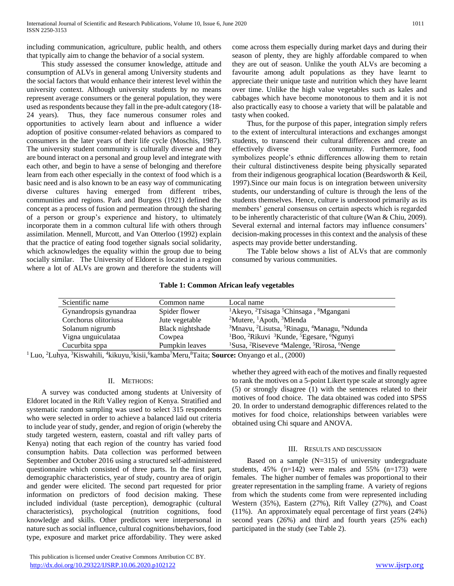including communication, agriculture, public health, and others that typically aim to change the behavior of a social system.

 This study assessed the consumer knowledge, attitude and consumption of ALVs in general among University students and the social factors that would enhance their interest level within the university context. Although university students by no means represent average consumers or the general population, they were used as respondents because they fall in the pre-adult category (18- 24 years). Thus, they face numerous consumer roles and opportunities to actively learn about and influence a wider adoption of positive consumer-related behaviors as compared to consumers in the later years of their life cycle (Moschis, 1987). The university student community is culturally diverse and they are bound interact on a personal and group level and integrate with each other, and begin to have a sense of belonging and therefore learn from each other especially in the context of food which is a basic need and is also known to be an easy way of communicating diverse cultures having emerged from different tribes, communities and regions. Park and Burgess (1921) defined the concept as a process of fusion and permeation through the sharing of a person or group's experience and history, to ultimately incorporate them in a common cultural life with others through assimilation. Mennell, Murcott, and Van Otterloo (1992) explain that the practice of eating food together signals social solidarity, which acknowledges the equality within the group due to being socially similar. The University of Eldoret is located in a region where a lot of ALVs are grown and therefore the students will come across them especially during market days and during their season of plenty, they are highly affordable compared to when they are out of season. Unlike the youth ALVs are becoming a favourite among adult populations as they have learnt to appreciate their unique taste and nutrition which they have learnt over time. Unlike the high value vegetables such as kales and cabbages which have become monotonous to them and it is not also practically easy to choose a variety that will be palatable and tasty when cooked.

 Thus, for the purpose of this paper, integration simply refers to the extent of intercultural interactions and exchanges amongst students, to transcend their cultural differences and create an effectively diverse community. Furthermore, food symbolizes people's ethnic differences allowing them to retain their cultural distinctiveness despite being physically separated from their indigenous geographical location (Beardsworth & Keil, 1997).Since our main focus is on integration between university students, our understanding of culture is through the lens of the students themselves. Hence, culture is understood primarily as its members' general consensus on certain aspects which is regarded to be inherently characteristic of that culture (Wan & Chiu, 2009). Several external and internal factors may influence consumers' decision-making processes in this context and the analysis of these aspects may provide better understanding.

 The Table below shows a list of ALVs that are commonly consumed by various communities.

# **Table 1: Common African leafy vegetables**

| Scientific name        | Common name      | Local name                                                                                              |
|------------------------|------------------|---------------------------------------------------------------------------------------------------------|
| Gynandropsis gynandraa | Spider flower    | <sup>1</sup> Akeyo, <sup>2</sup> Tsisaga <sup>5</sup> Chinsaga, <sup>8</sup> Mgangani                   |
| Corchorus olitoriusa   | Jute vegetable   | <sup>2</sup> Mutere, <sup>1</sup> Apoth, <sup>3</sup> Mlenda                                            |
| Solanum nigrumb        | Black nightshade | <sup>3</sup> Mnavu, <sup>2</sup> Lisutsa, <sup>5</sup> Rinagu, <sup>4</sup> Managu, <sup>8</sup> Ndunda |
| Vigna unguiculataa     | Cowpea           | <sup>1</sup> Boo, <sup>2</sup> Rikuvi <sup>3</sup> Kunde, <sup>5</sup> Egesare, <sup>6</sup> Ngunyi     |
| Cucurbita sppa         | Pumpkin leaves   | <sup>1</sup> Susa, <sup>2</sup> Riseveve <sup>4</sup> Malenge, <sup>5</sup> Rirosa, <sup>6</sup> Nenge  |

<sup>1</sup> Luo, <sup>2</sup>Luhya, <sup>3</sup>Kiswahili, <sup>4</sup>kikuyu, <sup>5</sup>kisii, <sup>6</sup>kamba<sup>7</sup>Meru, <sup>8</sup>Taita; **Source:** Onyango et al., (2000)

# II. METHODS:

 A survey was conducted among students at University of Eldoret located in the Rift Valley region of Kenya. Stratified and systematic random sampling was used to select 315 respondents who were selected in order to achieve a balanced laid out criteria to include year of study, gender, and region of origin (whereby the study targeted western, eastern, coastal and rift valley parts of Kenya) noting that each region of the country has varied food consumption habits. Data collection was performed between September and October 2016 using a structured self-administered questionnaire which consisted of three parts. In the first part, demographic characteristics, year of study, country area of origin and gender were elicited. The second part requested for prior information on predictors of food decision making. These included individual (taste perception), demographic (cultural characteristics), psychological (nutrition cognitions, food knowledge and skills. Other predictors were interpersonal in nature such as social influence, cultural cognitions/behaviors, food type, exposure and market price affordability. They were asked

 This publication is licensed under Creative Commons Attribution CC BY. <http://dx.doi.org/10.29322/IJSRP.10.06.2020.p102122> [www.ijsrp.org](http://ijsrp.org/)

whether they agreed with each of the motives and finally requested to rank the motives on a 5-point Likert type scale at strongly agree (5) or strongly disagree (1) with the sentences related to their motives of food choice. The data obtained was coded into SPSS 20. In order to understand demographic differences related to the motives for food choice, relationships between variables were obtained using Chi square and ANOVA.

#### III. RESULTS AND DISCUSSION

Based on a sample  $(N=315)$  of university undergraduate students,  $45\%$  (n=142) were males and  $55\%$  (n=173) were females. The higher number of females was proportional to their greater representation in the sampling frame. A variety of regions from which the students come from were represented including Western (35%), Eastern (27%), Rift Valley (27%), and Coast (11%). An approximately equal percentage of first years (24%) second years (26%) and third and fourth years (25% each) participated in the study (see Table 2).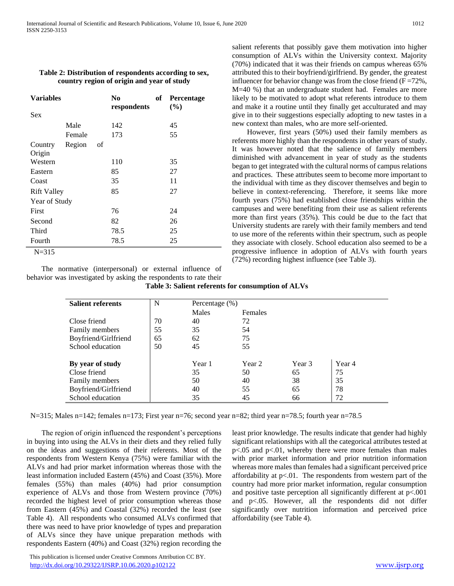# **Table 2: Distribution of respondents according to sex, country region of origin and year of study**

| <b>Variables</b>   |        |    | N <sub>0</sub><br>respondents | of | Percentage<br>$($ %) |
|--------------------|--------|----|-------------------------------|----|----------------------|
| <b>Sex</b>         |        |    |                               |    |                      |
|                    | Male   |    | 142                           |    | 45                   |
|                    | Female |    | 173                           |    | 55                   |
| Country            | Region | οf |                               |    |                      |
| Origin             |        |    |                               |    |                      |
| Western            |        |    | 110                           |    | 35                   |
| Eastern            |        |    | 85                            |    | 27                   |
| Coast              |        |    | 35                            |    | 11                   |
| <b>Rift Valley</b> |        |    | 85                            |    | 27                   |
| Year of Study      |        |    |                               |    |                      |
| First              |        |    | 76                            |    | 24                   |
| Second             |        |    | 82                            |    | 26                   |
| Third              |        |    | 78.5                          |    | 25                   |
| Fourth             |        |    | 78.5                          |    | 25                   |
| $N = 315$          |        |    |                               |    |                      |

 The normative (interpersonal) or external influence of behavior was investigated by asking the respondents to rate their **Table 3: Salient referents for consumption of ALVs**

salient referents that possibly gave them motivation into higher consumption of ALVs within the University context. Majority (70%) indicated that it was their friends on campus whereas 65% attributed this to their boyfriend/girlfriend. By gender, the greatest influencer for behavior change was from the close friend  $(F = 72\%$ , M=40 %) that an undergraduate student had. Females are more likely to be motivated to adopt what referents introduce to them and make it a routine until they finally get acculturated and may give in to their suggestions especially adopting to new tastes in a new context than males, who are more self-oriented.

 However, first years (50%) used their family members as referents more highly than the respondents in other years of study. It was however noted that the salience of family members diminished with advancement in year of study as the students began to get integrated with the cultural norms of campus relations and practices. These attributes seem to become more important to the individual with time as they discover themselves and begin to believe in context-referencing. Therefore, it seems like more fourth years (75%) had established close friendships within the campuses and were benefiting from their use as salient referents more than first years (35%). This could be due to the fact that University students are rarely with their family members and tend to use more of the referents within their spectrum, such as people they associate with closely. School education also seemed to be a progressive influence in adoption of ALVs with fourth years (72%) recording highest influence (see Table 3).

| <b>Salient referents</b> | N  | Percentage $(\%)$ |         |        |        |  |  |
|--------------------------|----|-------------------|---------|--------|--------|--|--|
|                          |    | Males             | Females |        |        |  |  |
| Close friend             | 70 | 40                | 72      |        |        |  |  |
| <b>Family members</b>    | 55 | 35                | 54      |        |        |  |  |
| Boyfriend/Girlfriend     | 65 | 62                | 75      |        |        |  |  |
| School education         | 50 | 45                | 55      |        |        |  |  |
|                          |    |                   |         |        |        |  |  |
| By year of study         |    | Year 1            | Year 2  | Year 3 | Year 4 |  |  |
| Close friend             |    | 35                | 50      | 65     | 75     |  |  |
| Family members           |    | 50                | 40      | 38     | 35     |  |  |
| Boyfriend/Girlfriend     |    | 40                | 55      | 65     | 78     |  |  |
| School education         |    | 35                | 45      | 66     | 72     |  |  |

N=315; Males n=142; females n=173; First year n=76; second year n=82; third year n=78.5; fourth year n=78.5

 The region of origin influenced the respondent's perceptions in buying into using the ALVs in their diets and they relied fully on the ideas and suggestions of their referents. Most of the respondents from Western Kenya (75%) were familiar with the ALVs and had prior market information whereas those with the least information included Eastern (45%) and Coast (35%). More females (55%) than males (40%) had prior consumption experience of ALVs and those from Western province (70%) recorded the highest level of prior consumption whereas those from Eastern (45%) and Coastal (32%) recorded the least (see Table 4). All respondents who consumed ALVs confirmed that there was need to have prior knowledge of types and preparation of ALVs since they have unique preparation methods with respondents Eastern (40%) and Coast (32%) region recording the least prior knowledge. The results indicate that gender had highly significant relationships with all the categorical attributes tested at p<.05 and p<.01, whereby there were more females than males with prior market information and prior nutrition information whereas more males than females had a significant perceived price affordability at  $p<0.01$ . The respondents from western part of the country had more prior market information, regular consumption and positive taste perception all significantly different at  $p<.001$ and p<.05. However, all the respondents did not differ significantly over nutrition information and perceived price affordability (see Table 4).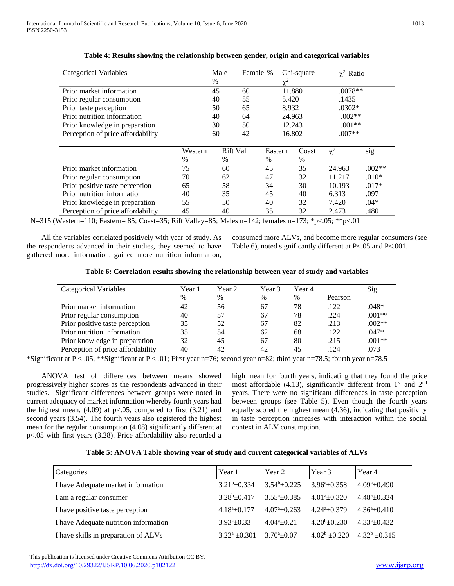| <b>Categorical Variables</b>      |         | Male | Female % |          | Chi-square | $\gamma^2$ Ratio |          |
|-----------------------------------|---------|------|----------|----------|------------|------------------|----------|
|                                   |         | $\%$ |          | $\chi^2$ |            |                  |          |
| Prior market information          |         | 45   | 60       |          | 11.880     | $.0078**$        |          |
| Prior regular consumption         |         | 40   | 55       |          | 5.420      | .1435            |          |
| Prior taste perception            |         | 50   | 65       |          | 8.932      | $.0302*$         |          |
| Prior nutrition information       |         | 40   | 64       |          | 24.963     | $.002**$         |          |
| Prior knowledge in preparation    |         | 30   | 50       |          | 12.243     | $.001**$         |          |
| Perception of price affordability |         | 60   | 42       |          | 16.802     | $.007**$         |          |
|                                   |         |      |          |          |            |                  |          |
|                                   | Western |      | Rift Val | Eastern  | Coast      | $\chi^2$         | sig      |
|                                   | $\%$    | $\%$ |          | $\%$     | $\%$       |                  |          |
| Prior market information          | 75      | 60   |          | 45       | 35         | 24.963           | $.002**$ |
| Prior regular consumption         | 70      | 62   |          | 47       | 32         | 11.217           | $.010*$  |
| Prior positive taste perception   | 65      | 58   |          | 34       | 30         | 10.193           | $.017*$  |
| Prior nutrition information       | 40      | 35   |          | 45       | 40         | 6.313            | .097     |
| Prior knowledge in preparation    | 55      | 50   |          | 40       | 32         | 7.420            | $.04*$   |
| Perception of price affordability | 45      | 40   |          | 35       | 32         | 2.473            | .480     |

# **Table 4: Results showing the relationship between gender, origin and categorical variables**

N=315 (Western=110; Eastern= 85; Coast=35; Rift Valley=85; Males n=142; females n=173; \*p<.05; \*\*p<.01

 All the variables correlated positively with year of study. As the respondents advanced in their studies, they seemed to have gathered more information, gained more nutrition information,

consumed more ALVs, and become more regular consumers (see Table 6), noted significantly different at P<.05 and P<.001.

| Table 6: Correlation results showing the relationship between year of study and variables |  |
|-------------------------------------------------------------------------------------------|--|
|-------------------------------------------------------------------------------------------|--|

| <b>Categorical Variables</b>      | Year 1 | Year 2 | Year 3 | Year 4 |         | Sig      |
|-----------------------------------|--------|--------|--------|--------|---------|----------|
|                                   | %      | $\%$   | %      | $\%$   | Pearson |          |
| Prior market information          | 42     | 56     | 67     | 78     | .122    | .048*    |
| Prior regular consumption         | 40     | 57     | 67     | 78     | .224    | $.001**$ |
| Prior positive taste perception   | 35     | 52     | 67     | 82     | .213    | $.002**$ |
| Prior nutrition information       | 35     | 54     | 62     | 68     | .122    | $.047*$  |
| Prior knowledge in preparation    | 32     | 45     | 67     | 80     | .215    | $.001**$ |
| Perception of price affordability | 40     | 42     | 42     | 45     | .124    | .073     |

\*Significant at  $P < 0.05$ , \*\*Significant at  $P < 0.01$ ; First year n=76; second year n=82; third year n=78.5; fourth year n=78.5

 ANOVA test of differences between means showed progressively higher scores as the respondents advanced in their studies. Significant differences between groups were noted in current adequacy of market information whereby fourth years had the highest mean,  $(4.09)$  at p<.05, compared to first  $(3.21)$  and second years (3.54). The fourth years also registered the highest mean for the regular consumption (4.08) significantly different at p<.05 with first years (3.28). Price affordability also recorded a

high mean for fourth years, indicating that they found the price most affordable  $(4.13)$ , significantly different from  $1<sup>st</sup>$  and  $2<sup>nd</sup>$ years. There were no significant differences in taste perception between groups (see Table 5). Even though the fourth years equally scored the highest mean (4.36), indicating that positivity in taste perception increases with interaction within the social context in ALV consumption.

| Categories                            | Year 1                     | Year 2                      | Year 3                      | Year 4                       |
|---------------------------------------|----------------------------|-----------------------------|-----------------------------|------------------------------|
| I have Adequate market information    | $3.21b\pm 0.334$           | $3.54^b \pm 0.225$          | $3.96^{\mathrm{a}}$ + 0.358 | $4.09^{\circ}$ ±0.490        |
| I am a regular consumer               | $3.28b + 0.417$            | $3.55^{\circ}+0.385$        | $4.01^{\mathrm{a}}$ + 0.320 | $4.48^{\mathrm{a}}\pm 0.324$ |
| I have positive taste perception      | $4.18^a \pm 0.177$         | $4.07^{\mathrm{a}}$ + 0.263 | $4.24^{\mathrm{a}}$ + 0.379 | $4.36^a \pm 0.410$           |
| I have Adequate nutrition information | $3.93^{\mathrm{a}}\pm0.33$ | $4.04^{a}+0.21$             | $4.20b \pm 0.230$           | $4.33^a \pm 0.432$           |
| I have skills in preparation of ALVs  | $3.22^a \pm 0.301$         | $3.70^{a} \pm 0.07$         | $4.02^b \pm 0.220$          | $4.32^b + 0.315$             |

 This publication is licensed under Creative Commons Attribution CC BY. <http://dx.doi.org/10.29322/IJSRP.10.06.2020.p102122> [www.ijsrp.org](http://ijsrp.org/)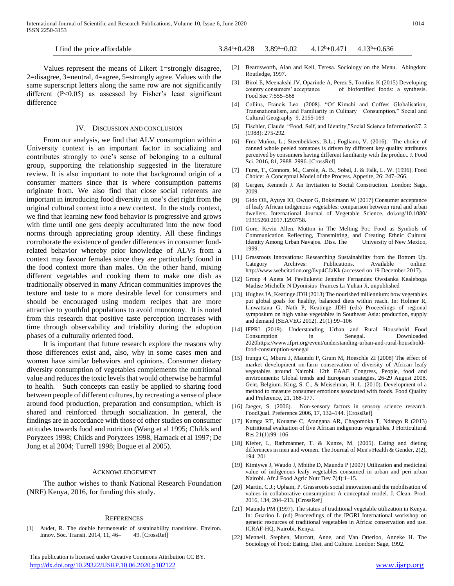I find the price affordable  $3.84^{\circ} \pm 0.428$   $3.89^{\circ} \pm 0.02$   $4.12^{\circ} \pm 0.471$   $4.13^{\circ} \pm 0.636$ 

 Values represent the means of Likert 1=strongly disagree, 2=disagree, 3=neutral, 4=agree, 5=strongly agree. Values with the same superscript letters along the same row are not significantly different  $(P<0.05)$  as assessed by Fisher's least significant difference

#### IV. DISCUSSION AND CONCLUSION

 From our analysis, we find that ALV consumption within a University context is an important factor in socializing and contributes strongly to one's sense of belonging to a cultural group, supporting the relationship suggested in the literature review. It is also important to note that background origin of a consumer matters since that is where consumption patterns originate from. We also find that close social referents are important in introducing food diversity in one's diet right from the original cultural context into a new context. In the study context, we find that learning new food behavior is progressive and grows with time until one gets deeply acculturated into the new food norms through appreciating group identity. All these findings corroborate the existence of gender differences in consumer foodrelated behavior whereby prior knowledge of ALVs from a context may favour females since they are particularly found in the food context more than males. On the other hand, mixing different vegetables and cooking them to make one dish as traditionally observed in many African communities improves the texture and taste to a more desirable level for consumers and should be encouraged using modern recipes that are more attractive to youthful populations to avoid monotony. It is noted from this research that positive taste perception increases with time through observability and triability during the adoption phases of a culturally oriented food.

 It is important that future research explore the reasons why those differences exist and, also, why in some cases men and women have similar behaviors and opinions. Consumer dietary diversity consumption of vegetables complements the nutritional value and reduces the toxic levels that would otherwise be harmful to health. Such concepts can easily be applied to sharing food between people of different cultures, by recreating a sense of place around food production, preparation and consumption, which is shared and reinforced through socialization. In general, the findings are in accordance with those of other studies on consumer attitudes towards food and nutrition (Wang et al 1995; Childs and Poryzees 1998; Childs and Poryzees 1998, Harnack et al 1997; De Jong et al 2004; Turrell 1998; Bogue et al 2005).

#### ACKNOWLEDGEMENT

 The author wishes to thank National Research Foundation (NRF) Kenya, 2016, for funding this study.

#### **REFERENCES**

[1] Audet, R. The double hermeneutic of sustainability transitions. Environ. Innov. Soc. Transit. 2014, 11, 46– 49. [CrossRef]

 This publication is licensed under Creative Commons Attribution CC BY. <http://dx.doi.org/10.29322/IJSRP.10.06.2020.p102122> [www.ijsrp.org](http://ijsrp.org/)

- [2] Beardsworth, Alan and Keil, Teresa. Sociology on the Menu. Abingdon: Routledge, 1997.
- [3] Birol E, Meenakshi JV, Oparinde A, Perez S, Tomlins K (2015) Developing country consumers' acceptance of biofortified foods: a synthesis. Food Sec 7:555–568
- [4] Collins, Francis Leo. (2008). "Of Kimchi and Coffee: Globalisation, Transnationalism, and Familiarity in Culinary Consumption," Social and Cultural Geography 9. 2155-169
- [5] Fischler, Claude. "Food, Self, and Identity,"Social Science Information27. 2 (1988): 275-292.
- [6] Frez-Muñoz, L.; Steenbekkers, B.L.; Fogliano, V. (2016). The choice of canned whole peeled tomatoes is driven by different key quality attributes perceived by consumers having different familiarity with the product. J. Food Sci. 2016, 81, 2988–2996. [CrossRef]
- [7] Furst, T., Connors, M., Carole, A. B., Sobal, J. & Falk, L. W. (1996). Food Choice: A Conceptual Model of the Process. Appetite, 26: 247–266.
- [8] Gergen, Kenneth J. An Invitation to Social Construction. London: Sage, 2009.
- [9] Gido OE, Ayuya IO, Owuor G, Bokelmann W (2017) Consumer acceptance of leafy African indigenous vegetables: comparison between rural and urban dwellers. International Journal of Vegetable Science. doi.org/10.1080/ 19315260.2017.1293758.
- [10] Gore, Kevin Allen. Mutton in The Melting Pot: Food as Symbols of Communication Reflecting, Transmitting, and Creating Ethnic Cultural Identity Among Urban Navajos. Diss. The University of New Mexico, 1999.
- [11] Grassroots Innovations: Researching Sustainability from the Bottom Up. Category Archives: Publications. http://www.webcitation.org/6vp4CJaKk (accessed on 19 December 2017).
- [12] Group 4 Aneta M Pavliukevic Jennifer Fernandez Owsianka Kealeboga Madise Michelle N Dyonisius Frances Li Yuhan Ji, unpublished
- [13] Hughes JA, Keatinge JDH (2013) The nourished millennium: how vegetables put global goals for healthy, balanced diets within reach. In: Holmer R, Linwattana G, Nath P, Keatinge JDH (eds) Proceedings of regional symposium on high value vegetables in Southeast Asia: production, supply and demand (SEAVEG 2012). 21(1):99–106
- [14] IFPRI (2019). Understanding Urban and Rural Household Food Consumption in Senegal. Downloaded 2020https://www.ifpri.org/event/understanding-urban-and-rural-householdfood-consumption-senegal
- [15] Irungu C, Mburu J, Maundu P, Grum M, Hoeschle ZI (2008) The effect of market development on-farm conservation of diversity of African leafy vegetables around Nairobi. 12th EAAE Congress, People, food and environments: Global trends and European strategies, 26-29 August 2008, Gent, Belgium. King, S. C., & Meiselman, H. L. (2010). Development of a method to measure consumer emotions associated with foods. Food Quality and Preference, 21, 168-177.
- [16] Jaeger, S. (2006). Non-sensory factors in sensory science research. FoodQual. Preference 2006, 17, 132–144. [CrossRef]
- [17] Kamga RT, Kouame C, Atangana AR, Chagomoka T, Ndango R (2013) Nutritional evaluation of five African indigenous vegetables. J Horticultural Res 21(1):99–106
- [18] Kiefer, I., Rathmanner, T. & Kunze, M. (2005). Eating and dieting differences in men and women. The Journal of Men's Health & Gender, 2(2), 194–201
- [19] Kimiywe J, Waudo J, Mbithe D, Maundu P (2007) Utilization and medicinal value of indigenous leafy vegetables consumed in urban and peri-urban Nairobi. Afr J Food Agric Nutr Dev 7(4):1–15.
- [20] Martin, C.J.; Upham, P. Grassroots social innovation and the mobilisation of values in collaborative consumption: A conceptual model. J. Clean. Prod. 2016, 134, 204–213. [CrossRef]
- [21] Maundu PM (1997). The status of traditional vegetable utilization in Kenya. In: Guarino L (ed) Proceedings of the IPGRI International workshop on genetic resources of traditional vegetables in Africa: conservation and use. ICRAF-HQ, Nairobi, Kenya.
- [22] Mennell, Stephen, Murcott, Anne, and Van Otterloo, Anneke H. The Sociology of Food: Eating, Diet, and Culture. London: Sage, 1992.